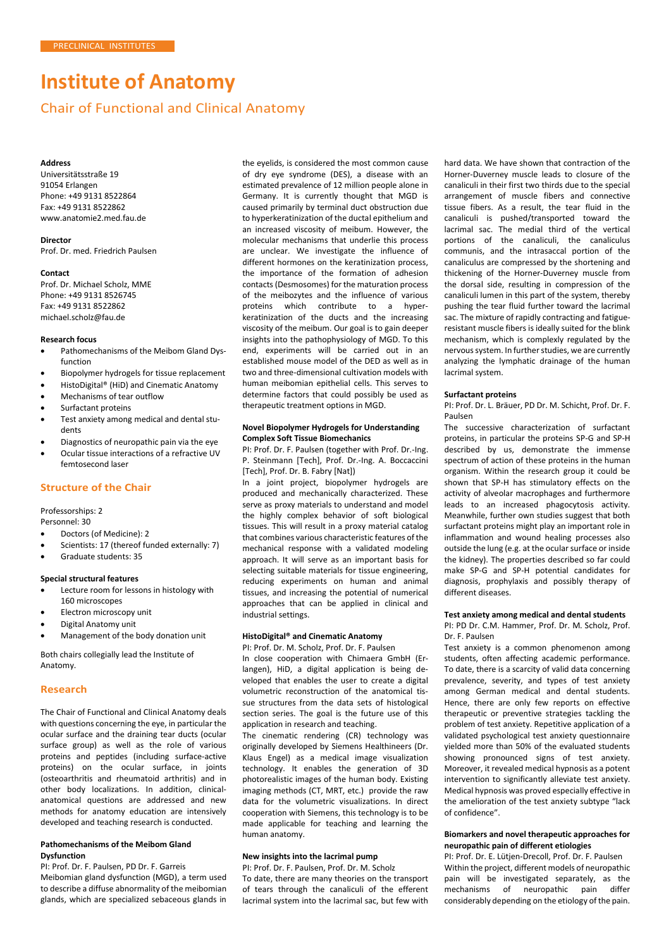# **Institute of Anatomy**

# Chair of Functional and Clinical Anatomy

#### **Address**

Universitätsstraße 19 91054 Erlangen Phone: +49 9131 8522864 Fax: +49 9131 8522862 [www.anatomie2.med.fau.de](http://www.anatomie2.med.fau.de/)

# **Director**

Prof. Dr. med. Friedrich Paulsen

#### **Contact**

Prof. Dr. Michael Scholz, MME Phone: +49 9131 8526745 Fax: +49 9131 8522862 [michael.scholz@fau.de](mailto:michael.scholz@fau.de)

## **Research focus**

- Pathomechanisms of the Meibom Gland Dysfunction
- Biopolymer hydrogels for tissue replacement
- HistoDigital® (HiD) and Cinematic Anatomy
- Mechanisms of tear outflow
- Surfactant proteins
- Test anxiety among medical and dental students
- Diagnostics of neuropathic pain via the eye
- Ocular tissue interactions of a refractive UV femtosecond laser

# **Structure of the Chair**

# Professorships: 2

Personnel: 30

- Doctors (of Medicine): 2
- Scientists: 17 (thereof funded externally: 7)
- Graduate students: 35

#### **Special structural features**

- Lecture room for lessons in histology with 160 microscopes
- Electron microscopy unit
- Digital Anatomy unit
- Management of the body donation unit

Both chairs collegially lead the Institute of Anatomy.

#### **Research**

The Chair of Functional and Clinical Anatomy deals with questions concerning the eye, in particular the ocular surface and the draining tear ducts (ocular surface group) as well as the role of various proteins and peptides (including surface-active proteins) on the ocular surface, in joints (osteoarthritis and rheumatoid arthritis) and in other body localizations. In addition, clinicalanatomical questions are addressed and new methods for anatomy education are intensively developed and teaching research is conducted.

# **Pathomechanisms of the Meibom Gland Dysfunction**

PI: Prof. Dr. F. Paulsen, PD Dr. F. Garreis Meibomian gland dysfunction (MGD), a term used to describe a diffuse abnormality of the meibomian glands, which are specialized sebaceous glands in the eyelids, is considered the most common cause of dry eye syndrome (DES), a disease with an estimated prevalence of 12 million people alone in Germany. It is currently thought that MGD is caused primarily by terminal duct obstruction due to hyperkeratinization of the ductal epithelium and an increased viscosity of meibum. However, the molecular mechanisms that underlie this process are unclear. We investigate the influence of different hormones on the keratinization process, the importance of the formation of adhesion contacts (Desmosomes) for the maturation process of the meibozytes and the influence of various proteins which contribute to a hyperkeratinization of the ducts and the increasing viscosity of the meibum. Our goal is to gain deeper insights into the pathophysiology of MGD. To this end, experiments will be carried out in an established mouse model of the DED as well as in two and three-dimensional cultivation models with human meibomian epithelial cells. This serves to determine factors that could possibly be used as therapeutic treatment options in MGD.

#### **Novel Biopolymer Hydrogels for Understanding Complex Soft Tissue Biomechanics**

PI: Prof. Dr. F. Paulsen (together with Prof. Dr.-Ing. P. Steinmann [Tech], Prof. Dr.-Ing. A. Boccaccini [Tech], Prof. Dr. B. Fabry [Nat])

In a joint project, biopolymer hydrogels are produced and mechanically characterized. These serve as proxy materials to understand and model the highly complex behavior of soft biological tissues. This will result in a proxy material catalog that combines various characteristic features of the mechanical response with a validated modeling approach. It will serve as an important basis for selecting suitable materials for tissue engineering, reducing experiments on human and animal tissues, and increasing the potential of numerical approaches that can be applied in clinical and industrial settings.

# **HistoDigital® and Cinematic Anatomy**

PI: Prof. Dr. M. Scholz, Prof. Dr. F. Paulsen

In close cooperation with Chimaera GmbH (Erlangen), HiD, a digital application is being developed that enables the user to create a digital volumetric reconstruction of the anatomical tissue structures from the data sets of histological section series. The goal is the future use of this application in research and teaching.

The cinematic rendering (CR) technology was originally developed by Siemens Healthineers (Dr. Klaus Engel) as a medical image visualization technology. It enables the generation of 3D photorealistic images of the human body. Existing imaging methods (CT, MRT, etc.) provide the raw data for the volumetric visualizations. In direct cooperation with Siemens, this technology is to be made applicable for teaching and learning the human anatomy.

# **New insights into the lacrimal pump**

PI: Prof. Dr. F. Paulsen, Prof. Dr. M. Scholz To date, there are many theories on the transport of tears through the canaliculi of the efferent lacrimal system into the lacrimal sac, but few with

hard data. We have shown that contraction of the Horner-Duverney muscle leads to closure of the canaliculi in their first two thirds due to the special arrangement of muscle fibers and connective tissue fibers. As a result, the tear fluid in the canaliculi is pushed/transported toward the lacrimal sac. The medial third of the vertical portions of the canaliculi, the canaliculus communis, and the intrasaccal portion of the canaliculus are compressed by the shortening and thickening of the Horner-Duverney muscle from the dorsal side, resulting in compression of the canaliculi lumen in this part of the system, thereby pushing the tear fluid further toward the lacrimal sac. The mixture of rapidly contracting and fatigueresistant muscle fibers is ideally suited for the blink mechanism, which is complexly regulated by the nervous system. In further studies, we are currently analyzing the lymphatic drainage of the human lacrimal system.

#### **Surfactant proteins**

PI: Prof. Dr. L. Bräuer, PD Dr. M. Schicht, Prof. Dr. F. Paulsen

The successive characterization of surfactant proteins, in particular the proteins SP-G and SP-H described by us, demonstrate the immense spectrum of action of these proteins in the human organism. Within the research group it could be shown that SP-H has stimulatory effects on the activity of alveolar macrophages and furthermore leads to an increased phagocytosis activity. Meanwhile, further own studies suggest that both surfactant proteins might play an important role in inflammation and wound healing processes also outside the lung (e.g. at the ocular surface or inside the kidney). The properties described so far could make SP-G and SP-H potential candidates for diagnosis, prophylaxis and possibly therapy of different diseases.

# **Test anxiety among medical and dental students** PI: PD Dr. C.M. Hammer, Prof. Dr. M. Scholz, Prof. Dr. F. Paulsen

Test anxiety is a common phenomenon among students, often affecting academic performance. To date, there is a scarcity of valid data concerning prevalence, severity, and types of test anxiety among German medical and dental students. Hence, there are only few reports on effective therapeutic or preventive strategies tackling the problem of test anxiety. Repetitive application of a validated psychological test anxiety questionnaire yielded more than 50% of the evaluated students showing pronounced signs of test anxiety. Moreover, it revealed medical hypnosis as a potent intervention to significantly alleviate test anxiety. Medical hypnosis was proved especially effective in the amelioration of the test anxiety subtype "lack of confidence".

# **Biomarkers and novel therapeutic approaches for neuropathic pain of different etiologies**

PI: Prof. Dr. E. Lütjen-Drecoll, Prof. Dr. F. Paulsen Within the project, different models of neuropathic pain will be investigated separately, as the mechanisms of neuropathic pain differ considerably depending on the etiology of the pain.